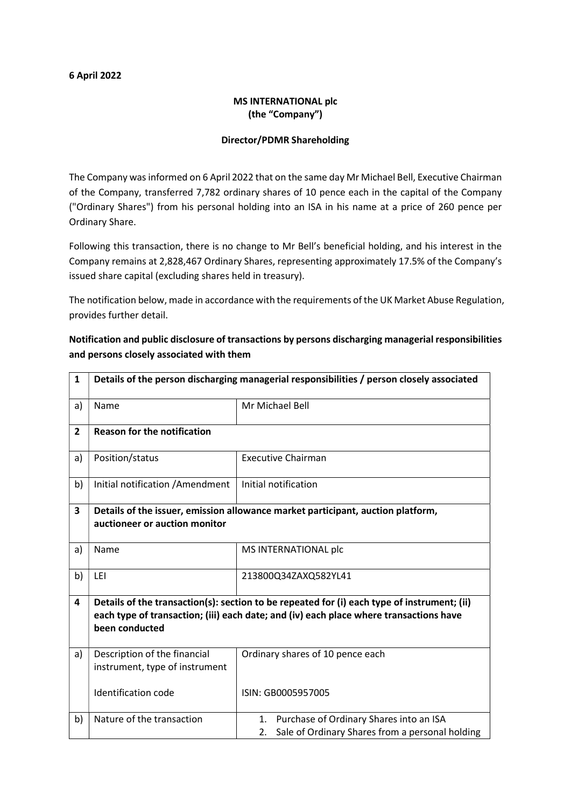#### 6 April 2022

## MS INTERNATIONAL plc (the "Company")

### Director/PDMR Shareholding

The Company was informed on 6 April 2022 that on the same day Mr Michael Bell, Executive Chairman of the Company, transferred 7,782 ordinary shares of 10 pence each in the capital of the Company ("Ordinary Shares") from his personal holding into an ISA in his name at a price of 260 pence per Ordinary Share.

Following this transaction, there is no change to Mr Bell's beneficial holding, and his interest in the Company remains at 2,828,467 Ordinary Shares, representing approximately 17.5% of the Company's issued share capital (excluding shares held in treasury).

The notification below, made in accordance with the requirements of the UK Market Abuse Regulation, provides further detail.

| $\mathbf{1}$   | Details of the person discharging managerial responsibilities / person closely associated                                                                                                               |                                                                                                        |  |
|----------------|---------------------------------------------------------------------------------------------------------------------------------------------------------------------------------------------------------|--------------------------------------------------------------------------------------------------------|--|
| a)             | Name                                                                                                                                                                                                    | Mr Michael Bell                                                                                        |  |
| $\overline{2}$ | <b>Reason for the notification</b>                                                                                                                                                                      |                                                                                                        |  |
| a)             | Position/status                                                                                                                                                                                         | <b>Executive Chairman</b>                                                                              |  |
| b)             | Initial notification / Amendment                                                                                                                                                                        | Initial notification                                                                                   |  |
| 3              | Details of the issuer, emission allowance market participant, auction platform,<br>auctioneer or auction monitor                                                                                        |                                                                                                        |  |
| a)             | Name                                                                                                                                                                                                    | MS INTERNATIONAL plc                                                                                   |  |
| b)             | LEI                                                                                                                                                                                                     | 213800Q34ZAXQ582YL41                                                                                   |  |
| 4              | Details of the transaction(s): section to be repeated for (i) each type of instrument; (ii)<br>each type of transaction; (iii) each date; and (iv) each place where transactions have<br>been conducted |                                                                                                        |  |
| a)             | Description of the financial<br>instrument, type of instrument                                                                                                                                          | Ordinary shares of 10 pence each                                                                       |  |
|                | <b>Identification code</b>                                                                                                                                                                              | ISIN: GB0005957005                                                                                     |  |
| b)             | Nature of the transaction                                                                                                                                                                               | Purchase of Ordinary Shares into an ISA<br>1.<br>Sale of Ordinary Shares from a personal holding<br>2. |  |

# Notification and public disclosure of transactions by persons discharging managerial responsibilities and persons closely associated with them